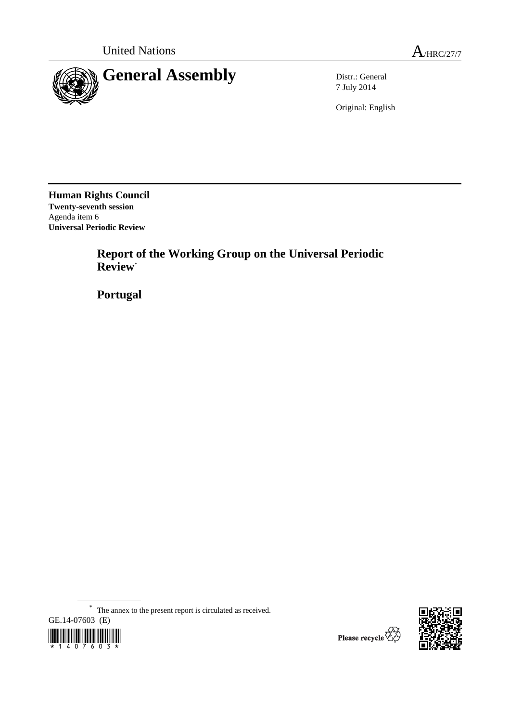

7 July 2014

Original: English

**Human Rights Council Twenty-seventh session**  Agenda item 6 **Universal Periodic Review** 

> **Report of the Working Group on the Universal Periodic Review**\*

 **Portugal** 

\* The annex to the present report is circulated as received.





Please recycle  $\overleftrightarrow{G}$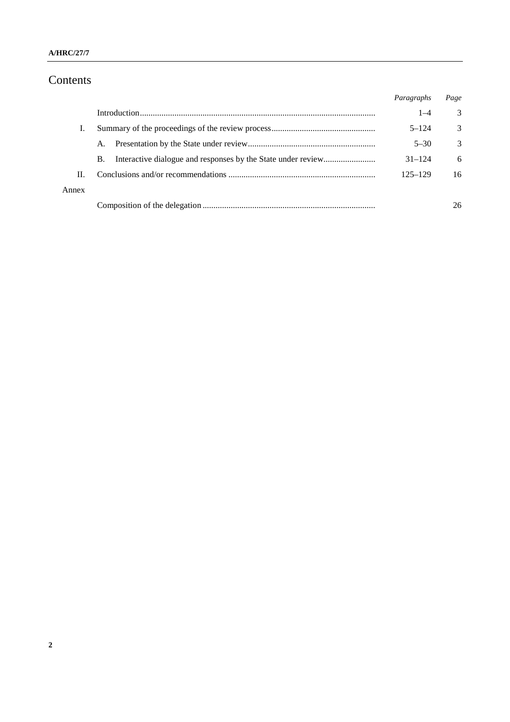# Contents

|       |    | Paragraphs  | Page |
|-------|----|-------------|------|
|       |    | $1 - 4$     | 3    |
|       |    | $5 - 124$   | 3    |
|       | A. | $5 - 30$    | 3    |
|       | B. | $31 - 124$  | 6    |
| H.    |    | $125 - 129$ | 16   |
| Annex |    |             |      |
|       |    |             | 26   |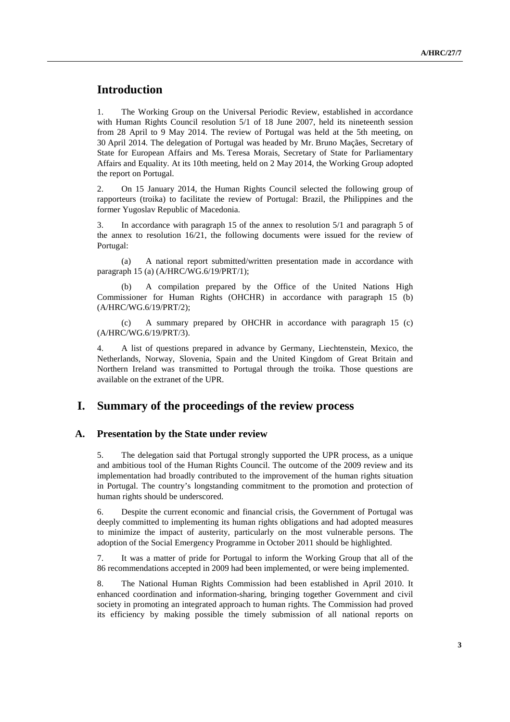# **Introduction**

1. The Working Group on the Universal Periodic Review, established in accordance with Human Rights Council resolution 5/1 of 18 June 2007, held its nineteenth session from 28 April to 9 May 2014. The review of Portugal was held at the 5th meeting, on 30 April 2014. The delegation of Portugal was headed by Mr. Bruno Maçães, Secretary of State for European Affairs and Ms. Teresa Morais, Secretary of State for Parliamentary Affairs and Equality. At its 10th meeting, held on 2 May 2014, the Working Group adopted the report on Portugal.

2. On 15 January 2014, the Human Rights Council selected the following group of rapporteurs (troika) to facilitate the review of Portugal: Brazil, the Philippines and the former Yugoslav Republic of Macedonia.

3. In accordance with paragraph 15 of the annex to resolution 5/1 and paragraph 5 of the annex to resolution 16/21, the following documents were issued for the review of Portugal:

(a) A national report submitted/written presentation made in accordance with paragraph 15 (a) (A/HRC/WG.6/19/PRT/1);

A compilation prepared by the Office of the United Nations High Commissioner for Human Rights (OHCHR) in accordance with paragraph 15 (b) (A/HRC/WG.6/19/PRT/2);

(c) A summary prepared by OHCHR in accordance with paragraph 15 (c) (A/HRC/WG.6/19/PRT/3).

4. A list of questions prepared in advance by Germany, Liechtenstein, Mexico, the Netherlands, Norway, Slovenia, Spain and the United Kingdom of Great Britain and Northern Ireland was transmitted to Portugal through the troika. Those questions are available on the extranet of the UPR.

### **I. Summary of the proceedings of the review process**

#### **A. Presentation by the State under review**

5. The delegation said that Portugal strongly supported the UPR process, as a unique and ambitious tool of the Human Rights Council. The outcome of the 2009 review and its implementation had broadly contributed to the improvement of the human rights situation in Portugal. The country's longstanding commitment to the promotion and protection of human rights should be underscored.

6. Despite the current economic and financial crisis, the Government of Portugal was deeply committed to implementing its human rights obligations and had adopted measures to minimize the impact of austerity, particularly on the most vulnerable persons. The adoption of the Social Emergency Programme in October 2011 should be highlighted.

7. It was a matter of pride for Portugal to inform the Working Group that all of the 86 recommendations accepted in 2009 had been implemented, or were being implemented.

8. The National Human Rights Commission had been established in April 2010. It enhanced coordination and information-sharing, bringing together Government and civil society in promoting an integrated approach to human rights. The Commission had proved its efficiency by making possible the timely submission of all national reports on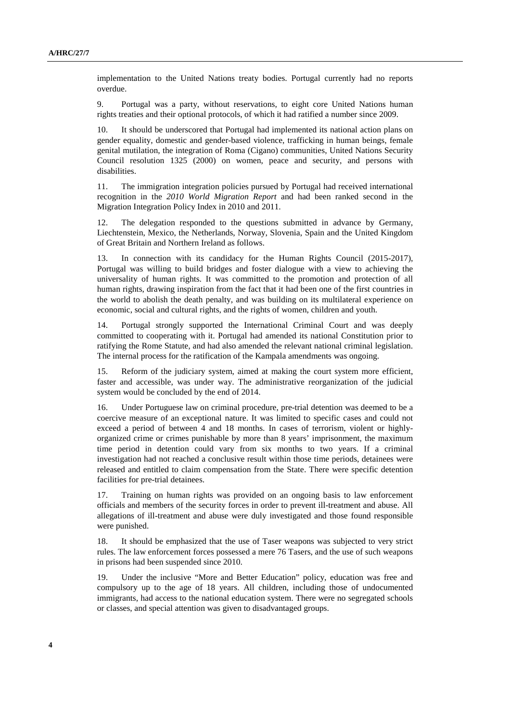implementation to the United Nations treaty bodies. Portugal currently had no reports overdue.

9. Portugal was a party, without reservations, to eight core United Nations human rights treaties and their optional protocols, of which it had ratified a number since 2009.

It should be underscored that Portugal had implemented its national action plans on gender equality, domestic and gender-based violence, trafficking in human beings, female genital mutilation, the integration of Roma (Cigano) communities, United Nations Security Council resolution 1325 (2000) on women, peace and security, and persons with disabilities.

11. The immigration integration policies pursued by Portugal had received international recognition in the *2010 World Migration Report* and had been ranked second in the Migration Integration Policy Index in 2010 and 2011.

12. The delegation responded to the questions submitted in advance by Germany, Liechtenstein, Mexico, the Netherlands, Norway, Slovenia, Spain and the United Kingdom of Great Britain and Northern Ireland as follows.

13. In connection with its candidacy for the Human Rights Council (2015-2017), Portugal was willing to build bridges and foster dialogue with a view to achieving the universality of human rights. It was committed to the promotion and protection of all human rights, drawing inspiration from the fact that it had been one of the first countries in the world to abolish the death penalty, and was building on its multilateral experience on economic, social and cultural rights, and the rights of women, children and youth.

14. Portugal strongly supported the International Criminal Court and was deeply committed to cooperating with it. Portugal had amended its national Constitution prior to ratifying the Rome Statute, and had also amended the relevant national criminal legislation. The internal process for the ratification of the Kampala amendments was ongoing.

15. Reform of the judiciary system, aimed at making the court system more efficient, faster and accessible, was under way. The administrative reorganization of the judicial system would be concluded by the end of 2014.

16. Under Portuguese law on criminal procedure, pre-trial detention was deemed to be a coercive measure of an exceptional nature. It was limited to specific cases and could not exceed a period of between 4 and 18 months. In cases of terrorism, violent or highlyorganized crime or crimes punishable by more than 8 years' imprisonment, the maximum time period in detention could vary from six months to two years. If a criminal investigation had not reached a conclusive result within those time periods, detainees were released and entitled to claim compensation from the State. There were specific detention facilities for pre-trial detainees.

17. Training on human rights was provided on an ongoing basis to law enforcement officials and members of the security forces in order to prevent ill-treatment and abuse. All allegations of ill-treatment and abuse were duly investigated and those found responsible were punished.

18. It should be emphasized that the use of Taser weapons was subjected to very strict rules. The law enforcement forces possessed a mere 76 Tasers, and the use of such weapons in prisons had been suspended since 2010.

19. Under the inclusive "More and Better Education" policy, education was free and compulsory up to the age of 18 years. All children, including those of undocumented immigrants, had access to the national education system. There were no segregated schools or classes, and special attention was given to disadvantaged groups.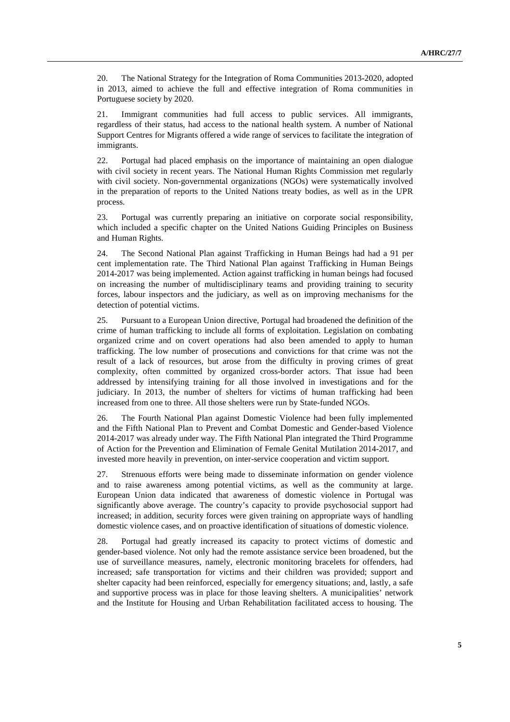20. The National Strategy for the Integration of Roma Communities 2013-2020, adopted in 2013, aimed to achieve the full and effective integration of Roma communities in Portuguese society by 2020.

21. Immigrant communities had full access to public services. All immigrants, regardless of their status, had access to the national health system. A number of National Support Centres for Migrants offered a wide range of services to facilitate the integration of immigrants.

22. Portugal had placed emphasis on the importance of maintaining an open dialogue with civil society in recent years. The National Human Rights Commission met regularly with civil society. Non-governmental organizations (NGOs) were systematically involved in the preparation of reports to the United Nations treaty bodies, as well as in the UPR process.

23. Portugal was currently preparing an initiative on corporate social responsibility, which included a specific chapter on the United Nations Guiding Principles on Business and Human Rights.

24. The Second National Plan against Trafficking in Human Beings had had a 91 per cent implementation rate. The Third National Plan against Trafficking in Human Beings 2014-2017 was being implemented. Action against trafficking in human beings had focused on increasing the number of multidisciplinary teams and providing training to security forces, labour inspectors and the judiciary, as well as on improving mechanisms for the detection of potential victims.

25. Pursuant to a European Union directive, Portugal had broadened the definition of the crime of human trafficking to include all forms of exploitation. Legislation on combating organized crime and on covert operations had also been amended to apply to human trafficking. The low number of prosecutions and convictions for that crime was not the result of a lack of resources, but arose from the difficulty in proving crimes of great complexity, often committed by organized cross-border actors. That issue had been addressed by intensifying training for all those involved in investigations and for the judiciary. In 2013, the number of shelters for victims of human trafficking had been increased from one to three. All those shelters were run by State-funded NGOs.

26. The Fourth National Plan against Domestic Violence had been fully implemented and the Fifth National Plan to Prevent and Combat Domestic and Gender-based Violence 2014-2017 was already under way. The Fifth National Plan integrated the Third Programme of Action for the Prevention and Elimination of Female Genital Mutilation 2014-2017, and invested more heavily in prevention, on inter-service cooperation and victim support.

27. Strenuous efforts were being made to disseminate information on gender violence and to raise awareness among potential victims, as well as the community at large. European Union data indicated that awareness of domestic violence in Portugal was significantly above average. The country's capacity to provide psychosocial support had increased; in addition, security forces were given training on appropriate ways of handling domestic violence cases, and on proactive identification of situations of domestic violence.

28. Portugal had greatly increased its capacity to protect victims of domestic and gender-based violence. Not only had the remote assistance service been broadened, but the use of surveillance measures, namely, electronic monitoring bracelets for offenders, had increased; safe transportation for victims and their children was provided; support and shelter capacity had been reinforced, especially for emergency situations; and, lastly, a safe and supportive process was in place for those leaving shelters. A municipalities' network and the Institute for Housing and Urban Rehabilitation facilitated access to housing. The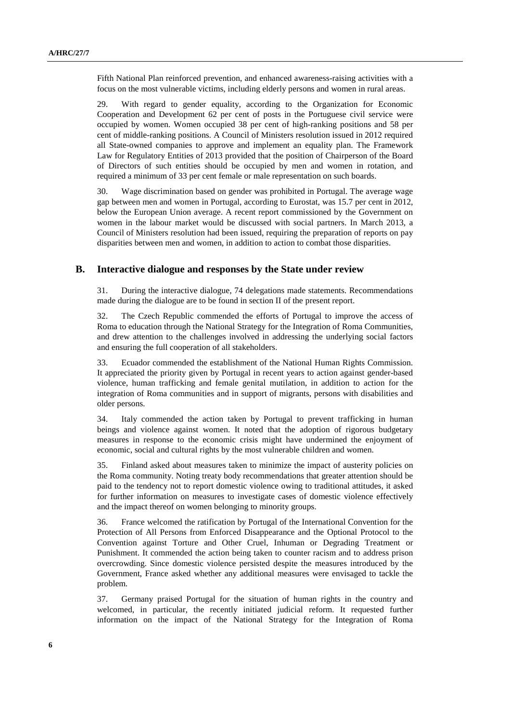Fifth National Plan reinforced prevention, and enhanced awareness-raising activities with a focus on the most vulnerable victims, including elderly persons and women in rural areas.

29. With regard to gender equality, according to the Organization for Economic Cooperation and Development 62 per cent of posts in the Portuguese civil service were occupied by women. Women occupied 38 per cent of high-ranking positions and 58 per cent of middle-ranking positions. A Council of Ministers resolution issued in 2012 required all State-owned companies to approve and implement an equality plan. The Framework Law for Regulatory Entities of 2013 provided that the position of Chairperson of the Board of Directors of such entities should be occupied by men and women in rotation, and required a minimum of 33 per cent female or male representation on such boards.

30. Wage discrimination based on gender was prohibited in Portugal. The average wage gap between men and women in Portugal, according to Eurostat, was 15.7 per cent in 2012, below the European Union average. A recent report commissioned by the Government on women in the labour market would be discussed with social partners. In March 2013, a Council of Ministers resolution had been issued, requiring the preparation of reports on pay disparities between men and women, in addition to action to combat those disparities.

#### **B. Interactive dialogue and responses by the State under review**

31. During the interactive dialogue, 74 delegations made statements. Recommendations made during the dialogue are to be found in section II of the present report.

32. The Czech Republic commended the efforts of Portugal to improve the access of Roma to education through the National Strategy for the Integration of Roma Communities, and drew attention to the challenges involved in addressing the underlying social factors and ensuring the full cooperation of all stakeholders.

33. Ecuador commended the establishment of the National Human Rights Commission. It appreciated the priority given by Portugal in recent years to action against gender-based violence, human trafficking and female genital mutilation, in addition to action for the integration of Roma communities and in support of migrants, persons with disabilities and older persons.

34. Italy commended the action taken by Portugal to prevent trafficking in human beings and violence against women. It noted that the adoption of rigorous budgetary measures in response to the economic crisis might have undermined the enjoyment of economic, social and cultural rights by the most vulnerable children and women.

35. Finland asked about measures taken to minimize the impact of austerity policies on the Roma community. Noting treaty body recommendations that greater attention should be paid to the tendency not to report domestic violence owing to traditional attitudes, it asked for further information on measures to investigate cases of domestic violence effectively and the impact thereof on women belonging to minority groups.

36. France welcomed the ratification by Portugal of the International Convention for the Protection of All Persons from Enforced Disappearance and the Optional Protocol to the Convention against Torture and Other Cruel, Inhuman or Degrading Treatment or Punishment. It commended the action being taken to counter racism and to address prison overcrowding. Since domestic violence persisted despite the measures introduced by the Government, France asked whether any additional measures were envisaged to tackle the problem.

37. Germany praised Portugal for the situation of human rights in the country and welcomed, in particular, the recently initiated judicial reform. It requested further information on the impact of the National Strategy for the Integration of Roma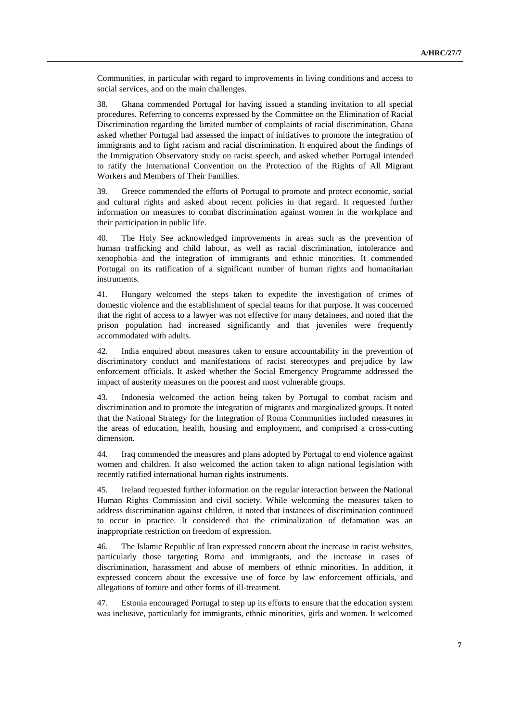Communities, in particular with regard to improvements in living conditions and access to social services, and on the main challenges.

38. Ghana commended Portugal for having issued a standing invitation to all special procedures. Referring to concerns expressed by the Committee on the Elimination of Racial Discrimination regarding the limited number of complaints of racial discrimination, Ghana asked whether Portugal had assessed the impact of initiatives to promote the integration of immigrants and to fight racism and racial discrimination. It enquired about the findings of the Immigration Observatory study on racist speech, and asked whether Portugal intended to ratify the International Convention on the Protection of the Rights of All Migrant Workers and Members of Their Families.

39. Greece commended the efforts of Portugal to promote and protect economic, social and cultural rights and asked about recent policies in that regard. It requested further information on measures to combat discrimination against women in the workplace and their participation in public life.

40. The Holy See acknowledged improvements in areas such as the prevention of human trafficking and child labour, as well as racial discrimination, intolerance and xenophobia and the integration of immigrants and ethnic minorities. It commended Portugal on its ratification of a significant number of human rights and humanitarian instruments.

41. Hungary welcomed the steps taken to expedite the investigation of crimes of domestic violence and the establishment of special teams for that purpose. It was concerned that the right of access to a lawyer was not effective for many detainees, and noted that the prison population had increased significantly and that juveniles were frequently accommodated with adults.

42. India enquired about measures taken to ensure accountability in the prevention of discriminatory conduct and manifestations of racist stereotypes and prejudice by law enforcement officials. It asked whether the Social Emergency Programme addressed the impact of austerity measures on the poorest and most vulnerable groups.

43. Indonesia welcomed the action being taken by Portugal to combat racism and discrimination and to promote the integration of migrants and marginalized groups. It noted that the National Strategy for the Integration of Roma Communities included measures in the areas of education, health, housing and employment, and comprised a cross-cutting dimension.

44. Iraq commended the measures and plans adopted by Portugal to end violence against women and children. It also welcomed the action taken to align national legislation with recently ratified international human rights instruments.

45. Ireland requested further information on the regular interaction between the National Human Rights Commission and civil society. While welcoming the measures taken to address discrimination against children, it noted that instances of discrimination continued to occur in practice. It considered that the criminalization of defamation was an inappropriate restriction on freedom of expression.

46. The Islamic Republic of Iran expressed concern about the increase in racist websites, particularly those targeting Roma and immigrants, and the increase in cases of discrimination, harassment and abuse of members of ethnic minorities. In addition, it expressed concern about the excessive use of force by law enforcement officials, and allegations of torture and other forms of ill-treatment.

47. Estonia encouraged Portugal to step up its efforts to ensure that the education system was inclusive, particularly for immigrants, ethnic minorities, girls and women. It welcomed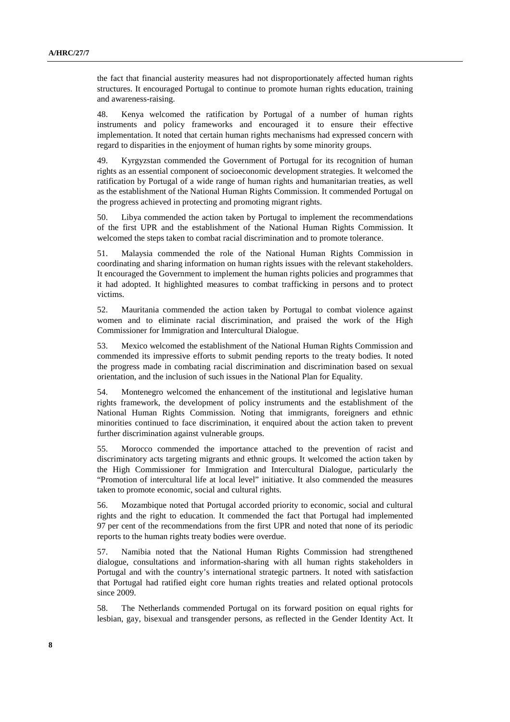the fact that financial austerity measures had not disproportionately affected human rights structures. It encouraged Portugal to continue to promote human rights education, training and awareness-raising.

48. Kenya welcomed the ratification by Portugal of a number of human rights instruments and policy frameworks and encouraged it to ensure their effective implementation. It noted that certain human rights mechanisms had expressed concern with regard to disparities in the enjoyment of human rights by some minority groups.

49. Kyrgyzstan commended the Government of Portugal for its recognition of human rights as an essential component of socioeconomic development strategies. It welcomed the ratification by Portugal of a wide range of human rights and humanitarian treaties, as well as the establishment of the National Human Rights Commission. It commended Portugal on the progress achieved in protecting and promoting migrant rights.

50. Libya commended the action taken by Portugal to implement the recommendations of the first UPR and the establishment of the National Human Rights Commission. It welcomed the steps taken to combat racial discrimination and to promote tolerance.

51. Malaysia commended the role of the National Human Rights Commission in coordinating and sharing information on human rights issues with the relevant stakeholders. It encouraged the Government to implement the human rights policies and programmes that it had adopted. It highlighted measures to combat trafficking in persons and to protect victims.

52. Mauritania commended the action taken by Portugal to combat violence against women and to eliminate racial discrimination, and praised the work of the High Commissioner for Immigration and Intercultural Dialogue.

53. Mexico welcomed the establishment of the National Human Rights Commission and commended its impressive efforts to submit pending reports to the treaty bodies. It noted the progress made in combating racial discrimination and discrimination based on sexual orientation, and the inclusion of such issues in the National Plan for Equality.

54. Montenegro welcomed the enhancement of the institutional and legislative human rights framework, the development of policy instruments and the establishment of the National Human Rights Commission. Noting that immigrants, foreigners and ethnic minorities continued to face discrimination, it enquired about the action taken to prevent further discrimination against vulnerable groups.

55. Morocco commended the importance attached to the prevention of racist and discriminatory acts targeting migrants and ethnic groups. It welcomed the action taken by the High Commissioner for Immigration and Intercultural Dialogue, particularly the "Promotion of intercultural life at local level" initiative. It also commended the measures taken to promote economic, social and cultural rights.

56. Mozambique noted that Portugal accorded priority to economic, social and cultural rights and the right to education. It commended the fact that Portugal had implemented 97 per cent of the recommendations from the first UPR and noted that none of its periodic reports to the human rights treaty bodies were overdue.

57. Namibia noted that the National Human Rights Commission had strengthened dialogue, consultations and information-sharing with all human rights stakeholders in Portugal and with the country's international strategic partners. It noted with satisfaction that Portugal had ratified eight core human rights treaties and related optional protocols since 2009.

58. The Netherlands commended Portugal on its forward position on equal rights for lesbian, gay, bisexual and transgender persons, as reflected in the Gender Identity Act. It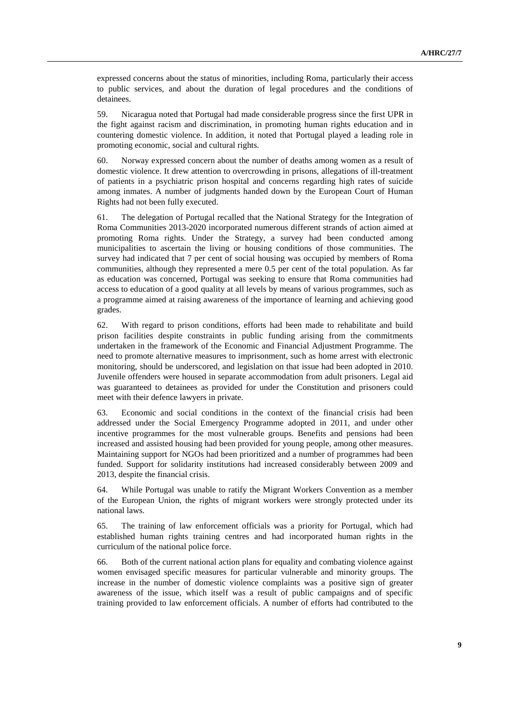expressed concerns about the status of minorities, including Roma, particularly their access to public services, and about the duration of legal procedures and the conditions of detainees.

59. Nicaragua noted that Portugal had made considerable progress since the first UPR in the fight against racism and discrimination, in promoting human rights education and in countering domestic violence. In addition, it noted that Portugal played a leading role in promoting economic, social and cultural rights.

60. Norway expressed concern about the number of deaths among women as a result of domestic violence. It drew attention to overcrowding in prisons, allegations of ill-treatment of patients in a psychiatric prison hospital and concerns regarding high rates of suicide among inmates. A number of judgments handed down by the European Court of Human Rights had not been fully executed.

61. The delegation of Portugal recalled that the National Strategy for the Integration of Roma Communities 2013-2020 incorporated numerous different strands of action aimed at promoting Roma rights. Under the Strategy, a survey had been conducted among municipalities to ascertain the living or housing conditions of those communities. The survey had indicated that 7 per cent of social housing was occupied by members of Roma communities, although they represented a mere 0.5 per cent of the total population. As far as education was concerned, Portugal was seeking to ensure that Roma communities had access to education of a good quality at all levels by means of various programmes, such as a programme aimed at raising awareness of the importance of learning and achieving good grades.

62. With regard to prison conditions, efforts had been made to rehabilitate and build prison facilities despite constraints in public funding arising from the commitments undertaken in the framework of the Economic and Financial Adjustment Programme. The need to promote alternative measures to imprisonment, such as home arrest with electronic monitoring, should be underscored, and legislation on that issue had been adopted in 2010. Juvenile offenders were housed in separate accommodation from adult prisoners. Legal aid was guaranteed to detainees as provided for under the Constitution and prisoners could meet with their defence lawyers in private.

63. Economic and social conditions in the context of the financial crisis had been addressed under the Social Emergency Programme adopted in 2011, and under other incentive programmes for the most vulnerable groups. Benefits and pensions had been increased and assisted housing had been provided for young people, among other measures. Maintaining support for NGOs had been prioritized and a number of programmes had been funded. Support for solidarity institutions had increased considerably between 2009 and 2013, despite the financial crisis.

64. While Portugal was unable to ratify the Migrant Workers Convention as a member of the European Union, the rights of migrant workers were strongly protected under its national laws.

65. The training of law enforcement officials was a priority for Portugal, which had established human rights training centres and had incorporated human rights in the curriculum of the national police force.

66. Both of the current national action plans for equality and combating violence against women envisaged specific measures for particular vulnerable and minority groups. The increase in the number of domestic violence complaints was a positive sign of greater awareness of the issue, which itself was a result of public campaigns and of specific training provided to law enforcement officials. A number of efforts had contributed to the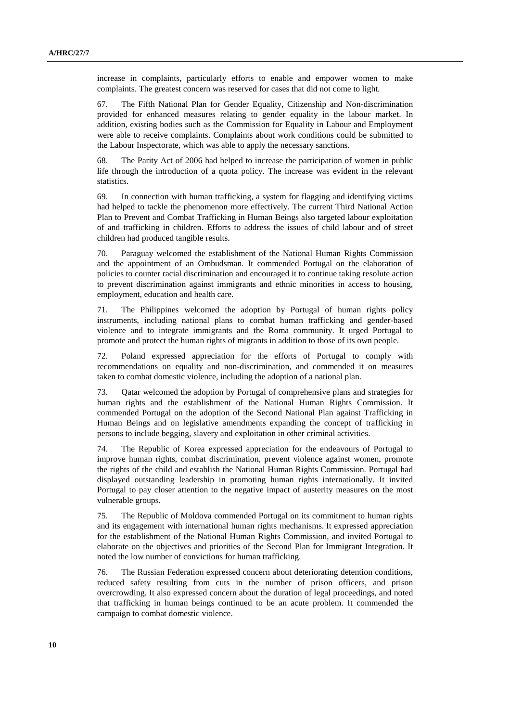increase in complaints, particularly efforts to enable and empower women to make complaints. The greatest concern was reserved for cases that did not come to light.

67. The Fifth National Plan for Gender Equality, Citizenship and Non-discrimination provided for enhanced measures relating to gender equality in the labour market. In addition, existing bodies such as the Commission for Equality in Labour and Employment were able to receive complaints. Complaints about work conditions could be submitted to the Labour Inspectorate, which was able to apply the necessary sanctions.

68. The Parity Act of 2006 had helped to increase the participation of women in public life through the introduction of a quota policy. The increase was evident in the relevant statistics.

69. In connection with human trafficking, a system for flagging and identifying victims had helped to tackle the phenomenon more effectively. The current Third National Action Plan to Prevent and Combat Trafficking in Human Beings also targeted labour exploitation of and trafficking in children. Efforts to address the issues of child labour and of street children had produced tangible results.

70. Paraguay welcomed the establishment of the National Human Rights Commission and the appointment of an Ombudsman. It commended Portugal on the elaboration of policies to counter racial discrimination and encouraged it to continue taking resolute action to prevent discrimination against immigrants and ethnic minorities in access to housing, employment, education and health care.

71. The Philippines welcomed the adoption by Portugal of human rights policy instruments, including national plans to combat human trafficking and gender-based violence and to integrate immigrants and the Roma community. It urged Portugal to promote and protect the human rights of migrants in addition to those of its own people.

72. Poland expressed appreciation for the efforts of Portugal to comply with recommendations on equality and non-discrimination, and commended it on measures taken to combat domestic violence, including the adoption of a national plan.

73. Qatar welcomed the adoption by Portugal of comprehensive plans and strategies for human rights and the establishment of the National Human Rights Commission. It commended Portugal on the adoption of the Second National Plan against Trafficking in Human Beings and on legislative amendments expanding the concept of trafficking in persons to include begging, slavery and exploitation in other criminal activities.

74. The Republic of Korea expressed appreciation for the endeavours of Portugal to improve human rights, combat discrimination, prevent violence against women, promote the rights of the child and establish the National Human Rights Commission. Portugal had displayed outstanding leadership in promoting human rights internationally. It invited Portugal to pay closer attention to the negative impact of austerity measures on the most vulnerable groups.

75. The Republic of Moldova commended Portugal on its commitment to human rights and its engagement with international human rights mechanisms. It expressed appreciation for the establishment of the National Human Rights Commission, and invited Portugal to elaborate on the objectives and priorities of the Second Plan for Immigrant Integration. It noted the low number of convictions for human trafficking.

76. The Russian Federation expressed concern about deteriorating detention conditions, reduced safety resulting from cuts in the number of prison officers, and prison overcrowding. It also expressed concern about the duration of legal proceedings, and noted that trafficking in human beings continued to be an acute problem. It commended the campaign to combat domestic violence.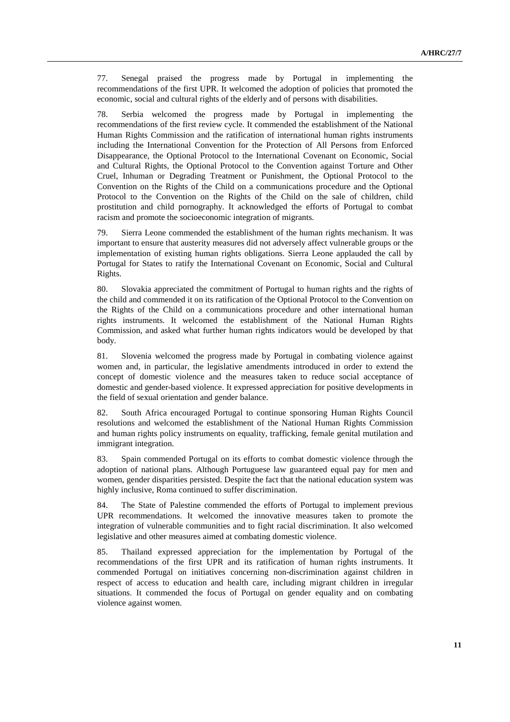77. Senegal praised the progress made by Portugal in implementing the recommendations of the first UPR. It welcomed the adoption of policies that promoted the economic, social and cultural rights of the elderly and of persons with disabilities.

78. Serbia welcomed the progress made by Portugal in implementing the recommendations of the first review cycle. It commended the establishment of the National Human Rights Commission and the ratification of international human rights instruments including the International Convention for the Protection of All Persons from Enforced Disappearance, the Optional Protocol to the International Covenant on Economic, Social and Cultural Rights, the Optional Protocol to the Convention against Torture and Other Cruel, Inhuman or Degrading Treatment or Punishment, the Optional Protocol to the Convention on the Rights of the Child on a communications procedure and the Optional Protocol to the Convention on the Rights of the Child on the sale of children, child prostitution and child pornography. It acknowledged the efforts of Portugal to combat racism and promote the socioeconomic integration of migrants.

79. Sierra Leone commended the establishment of the human rights mechanism. It was important to ensure that austerity measures did not adversely affect vulnerable groups or the implementation of existing human rights obligations. Sierra Leone applauded the call by Portugal for States to ratify the International Covenant on Economic, Social and Cultural Rights.

80. Slovakia appreciated the commitment of Portugal to human rights and the rights of the child and commended it on its ratification of the Optional Protocol to the Convention on the Rights of the Child on a communications procedure and other international human rights instruments. It welcomed the establishment of the National Human Rights Commission, and asked what further human rights indicators would be developed by that body.

81. Slovenia welcomed the progress made by Portugal in combating violence against women and, in particular, the legislative amendments introduced in order to extend the concept of domestic violence and the measures taken to reduce social acceptance of domestic and gender-based violence. It expressed appreciation for positive developments in the field of sexual orientation and gender balance.

82. South Africa encouraged Portugal to continue sponsoring Human Rights Council resolutions and welcomed the establishment of the National Human Rights Commission and human rights policy instruments on equality, trafficking, female genital mutilation and immigrant integration.

83. Spain commended Portugal on its efforts to combat domestic violence through the adoption of national plans. Although Portuguese law guaranteed equal pay for men and women, gender disparities persisted. Despite the fact that the national education system was highly inclusive, Roma continued to suffer discrimination.

84. The State of Palestine commended the efforts of Portugal to implement previous UPR recommendations. It welcomed the innovative measures taken to promote the integration of vulnerable communities and to fight racial discrimination. It also welcomed legislative and other measures aimed at combating domestic violence.

85. Thailand expressed appreciation for the implementation by Portugal of the recommendations of the first UPR and its ratification of human rights instruments. It commended Portugal on initiatives concerning non-discrimination against children in respect of access to education and health care, including migrant children in irregular situations. It commended the focus of Portugal on gender equality and on combating violence against women.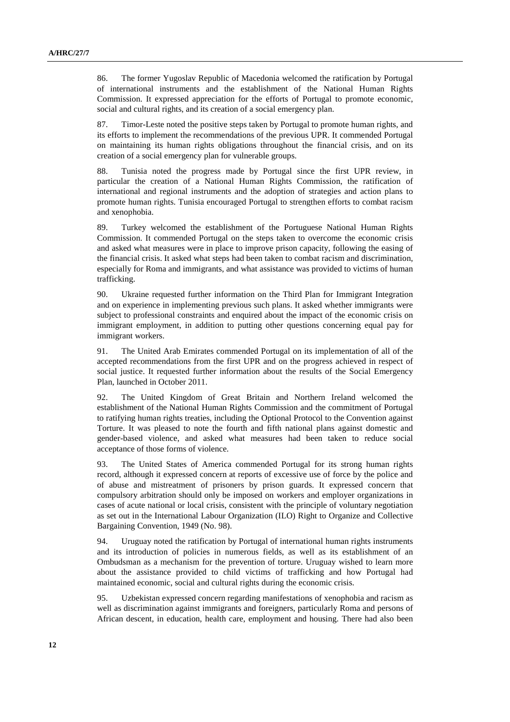86. The former Yugoslav Republic of Macedonia welcomed the ratification by Portugal of international instruments and the establishment of the National Human Rights Commission. It expressed appreciation for the efforts of Portugal to promote economic, social and cultural rights, and its creation of a social emergency plan.

87. Timor-Leste noted the positive steps taken by Portugal to promote human rights, and its efforts to implement the recommendations of the previous UPR. It commended Portugal on maintaining its human rights obligations throughout the financial crisis, and on its creation of a social emergency plan for vulnerable groups.

88. Tunisia noted the progress made by Portugal since the first UPR review, in particular the creation of a National Human Rights Commission, the ratification of international and regional instruments and the adoption of strategies and action plans to promote human rights. Tunisia encouraged Portugal to strengthen efforts to combat racism and xenophobia.

89. Turkey welcomed the establishment of the Portuguese National Human Rights Commission. It commended Portugal on the steps taken to overcome the economic crisis and asked what measures were in place to improve prison capacity, following the easing of the financial crisis. It asked what steps had been taken to combat racism and discrimination, especially for Roma and immigrants, and what assistance was provided to victims of human trafficking.

90. Ukraine requested further information on the Third Plan for Immigrant Integration and on experience in implementing previous such plans. It asked whether immigrants were subject to professional constraints and enquired about the impact of the economic crisis on immigrant employment, in addition to putting other questions concerning equal pay for immigrant workers.

91. The United Arab Emirates commended Portugal on its implementation of all of the accepted recommendations from the first UPR and on the progress achieved in respect of social justice. It requested further information about the results of the Social Emergency Plan, launched in October 2011.

92. The United Kingdom of Great Britain and Northern Ireland welcomed the establishment of the National Human Rights Commission and the commitment of Portugal to ratifying human rights treaties, including the Optional Protocol to the Convention against Torture. It was pleased to note the fourth and fifth national plans against domestic and gender-based violence, and asked what measures had been taken to reduce social acceptance of those forms of violence.

93. The United States of America commended Portugal for its strong human rights record, although it expressed concern at reports of excessive use of force by the police and of abuse and mistreatment of prisoners by prison guards. It expressed concern that compulsory arbitration should only be imposed on workers and employer organizations in cases of acute national or local crisis, consistent with the principle of voluntary negotiation as set out in the International Labour Organization (ILO) Right to Organize and Collective Bargaining Convention, 1949 (No. 98).

94. Uruguay noted the ratification by Portugal of international human rights instruments and its introduction of policies in numerous fields, as well as its establishment of an Ombudsman as a mechanism for the prevention of torture. Uruguay wished to learn more about the assistance provided to child victims of trafficking and how Portugal had maintained economic, social and cultural rights during the economic crisis.

95. Uzbekistan expressed concern regarding manifestations of xenophobia and racism as well as discrimination against immigrants and foreigners, particularly Roma and persons of African descent, in education, health care, employment and housing. There had also been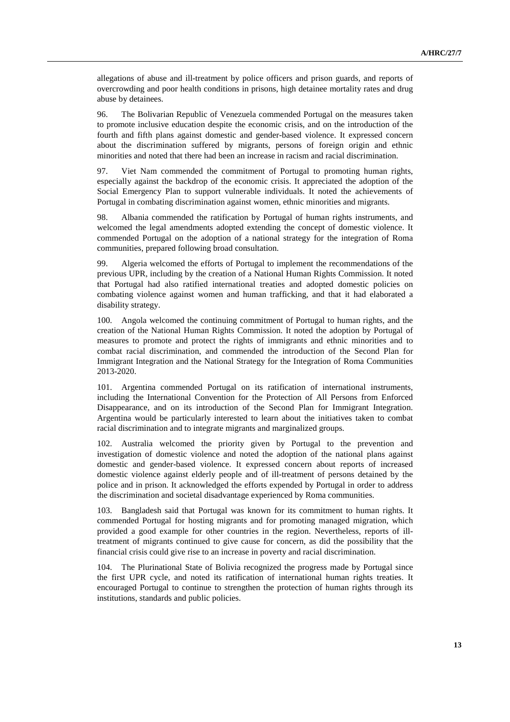allegations of abuse and ill-treatment by police officers and prison guards, and reports of overcrowding and poor health conditions in prisons, high detainee mortality rates and drug abuse by detainees.

96. The Bolivarian Republic of Venezuela commended Portugal on the measures taken to promote inclusive education despite the economic crisis, and on the introduction of the fourth and fifth plans against domestic and gender-based violence. It expressed concern about the discrimination suffered by migrants, persons of foreign origin and ethnic minorities and noted that there had been an increase in racism and racial discrimination.

97. Viet Nam commended the commitment of Portugal to promoting human rights, especially against the backdrop of the economic crisis. It appreciated the adoption of the Social Emergency Plan to support vulnerable individuals. It noted the achievements of Portugal in combating discrimination against women, ethnic minorities and migrants.

98. Albania commended the ratification by Portugal of human rights instruments, and welcomed the legal amendments adopted extending the concept of domestic violence. It commended Portugal on the adoption of a national strategy for the integration of Roma communities, prepared following broad consultation.

99. Algeria welcomed the efforts of Portugal to implement the recommendations of the previous UPR, including by the creation of a National Human Rights Commission. It noted that Portugal had also ratified international treaties and adopted domestic policies on combating violence against women and human trafficking, and that it had elaborated a disability strategy.

100. Angola welcomed the continuing commitment of Portugal to human rights, and the creation of the National Human Rights Commission. It noted the adoption by Portugal of measures to promote and protect the rights of immigrants and ethnic minorities and to combat racial discrimination, and commended the introduction of the Second Plan for Immigrant Integration and the National Strategy for the Integration of Roma Communities 2013-2020.

101. Argentina commended Portugal on its ratification of international instruments, including the International Convention for the Protection of All Persons from Enforced Disappearance, and on its introduction of the Second Plan for Immigrant Integration. Argentina would be particularly interested to learn about the initiatives taken to combat racial discrimination and to integrate migrants and marginalized groups.

102. Australia welcomed the priority given by Portugal to the prevention and investigation of domestic violence and noted the adoption of the national plans against domestic and gender-based violence. It expressed concern about reports of increased domestic violence against elderly people and of ill-treatment of persons detained by the police and in prison. It acknowledged the efforts expended by Portugal in order to address the discrimination and societal disadvantage experienced by Roma communities.

103. Bangladesh said that Portugal was known for its commitment to human rights. It commended Portugal for hosting migrants and for promoting managed migration, which provided a good example for other countries in the region. Nevertheless, reports of illtreatment of migrants continued to give cause for concern, as did the possibility that the financial crisis could give rise to an increase in poverty and racial discrimination.

104. The Plurinational State of Bolivia recognized the progress made by Portugal since the first UPR cycle, and noted its ratification of international human rights treaties. It encouraged Portugal to continue to strengthen the protection of human rights through its institutions, standards and public policies.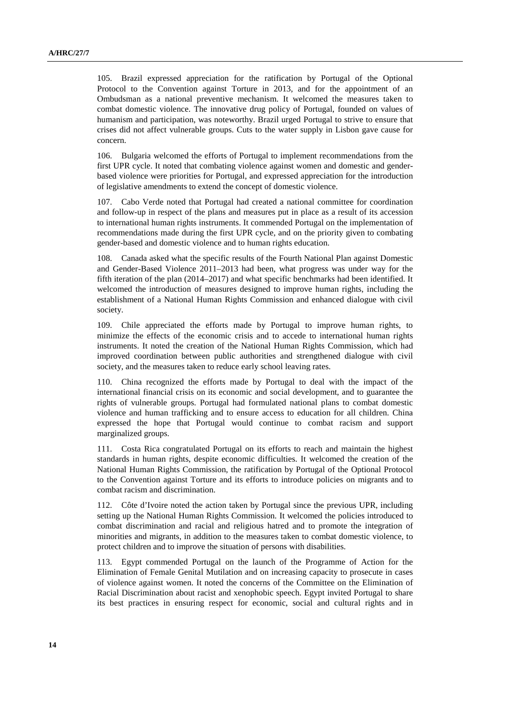105. Brazil expressed appreciation for the ratification by Portugal of the Optional Protocol to the Convention against Torture in 2013, and for the appointment of an Ombudsman as a national preventive mechanism. It welcomed the measures taken to combat domestic violence. The innovative drug policy of Portugal, founded on values of humanism and participation, was noteworthy. Brazil urged Portugal to strive to ensure that crises did not affect vulnerable groups. Cuts to the water supply in Lisbon gave cause for concern.

106. Bulgaria welcomed the efforts of Portugal to implement recommendations from the first UPR cycle. It noted that combating violence against women and domestic and genderbased violence were priorities for Portugal, and expressed appreciation for the introduction of legislative amendments to extend the concept of domestic violence.

107. Cabo Verde noted that Portugal had created a national committee for coordination and follow-up in respect of the plans and measures put in place as a result of its accession to international human rights instruments. It commended Portugal on the implementation of recommendations made during the first UPR cycle, and on the priority given to combating gender-based and domestic violence and to human rights education.

108. Canada asked what the specific results of the Fourth National Plan against Domestic and Gender-Based Violence 2011–2013 had been, what progress was under way for the fifth iteration of the plan (2014–2017) and what specific benchmarks had been identified. It welcomed the introduction of measures designed to improve human rights, including the establishment of a National Human Rights Commission and enhanced dialogue with civil society.

109. Chile appreciated the efforts made by Portugal to improve human rights, to minimize the effects of the economic crisis and to accede to international human rights instruments. It noted the creation of the National Human Rights Commission, which had improved coordination between public authorities and strengthened dialogue with civil society, and the measures taken to reduce early school leaving rates.

110. China recognized the efforts made by Portugal to deal with the impact of the international financial crisis on its economic and social development, and to guarantee the rights of vulnerable groups. Portugal had formulated national plans to combat domestic violence and human trafficking and to ensure access to education for all children. China expressed the hope that Portugal would continue to combat racism and support marginalized groups.

111. Costa Rica congratulated Portugal on its efforts to reach and maintain the highest standards in human rights, despite economic difficulties. It welcomed the creation of the National Human Rights Commission, the ratification by Portugal of the Optional Protocol to the Convention against Torture and its efforts to introduce policies on migrants and to combat racism and discrimination.

112. Côte d'Ivoire noted the action taken by Portugal since the previous UPR, including setting up the National Human Rights Commission. It welcomed the policies introduced to combat discrimination and racial and religious hatred and to promote the integration of minorities and migrants, in addition to the measures taken to combat domestic violence, to protect children and to improve the situation of persons with disabilities.

113. Egypt commended Portugal on the launch of the Programme of Action for the Elimination of Female Genital Mutilation and on increasing capacity to prosecute in cases of violence against women. It noted the concerns of the Committee on the Elimination of Racial Discrimination about racist and xenophobic speech. Egypt invited Portugal to share its best practices in ensuring respect for economic, social and cultural rights and in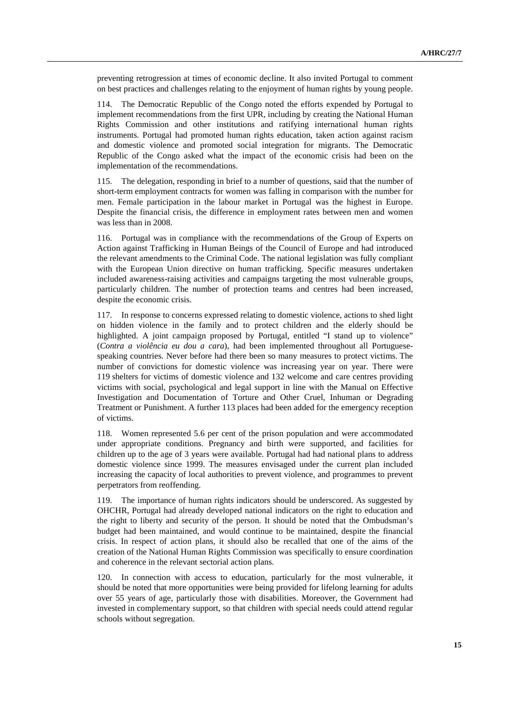preventing retrogression at times of economic decline. It also invited Portugal to comment on best practices and challenges relating to the enjoyment of human rights by young people.

114. The Democratic Republic of the Congo noted the efforts expended by Portugal to implement recommendations from the first UPR, including by creating the National Human Rights Commission and other institutions and ratifying international human rights instruments. Portugal had promoted human rights education, taken action against racism and domestic violence and promoted social integration for migrants. The Democratic Republic of the Congo asked what the impact of the economic crisis had been on the implementation of the recommendations.

115. The delegation, responding in brief to a number of questions, said that the number of short-term employment contracts for women was falling in comparison with the number for men. Female participation in the labour market in Portugal was the highest in Europe. Despite the financial crisis, the difference in employment rates between men and women was less than in 2008.

116. Portugal was in compliance with the recommendations of the Group of Experts on Action against Trafficking in Human Beings of the Council of Europe and had introduced the relevant amendments to the Criminal Code. The national legislation was fully compliant with the European Union directive on human trafficking. Specific measures undertaken included awareness-raising activities and campaigns targeting the most vulnerable groups, particularly children. The number of protection teams and centres had been increased, despite the economic crisis.

117. In response to concerns expressed relating to domestic violence, actions to shed light on hidden violence in the family and to protect children and the elderly should be highlighted. A joint campaign proposed by Portugal, entitled "I stand up to violence" (*Contra a violência eu dou a cara*), had been implemented throughout all Portuguesespeaking countries. Never before had there been so many measures to protect victims. The number of convictions for domestic violence was increasing year on year. There were 119 shelters for victims of domestic violence and 132 welcome and care centres providing victims with social, psychological and legal support in line with the Manual on Effective Investigation and Documentation of Torture and Other Cruel, Inhuman or Degrading Treatment or Punishment. A further 113 places had been added for the emergency reception of victims.

118. Women represented 5.6 per cent of the prison population and were accommodated under appropriate conditions. Pregnancy and birth were supported, and facilities for children up to the age of 3 years were available. Portugal had had national plans to address domestic violence since 1999. The measures envisaged under the current plan included increasing the capacity of local authorities to prevent violence, and programmes to prevent perpetrators from reoffending.

119. The importance of human rights indicators should be underscored. As suggested by OHCHR, Portugal had already developed national indicators on the right to education and the right to liberty and security of the person. It should be noted that the Ombudsman's budget had been maintained, and would continue to be maintained, despite the financial crisis. In respect of action plans, it should also be recalled that one of the aims of the creation of the National Human Rights Commission was specifically to ensure coordination and coherence in the relevant sectorial action plans.

120. In connection with access to education, particularly for the most vulnerable, it should be noted that more opportunities were being provided for lifelong learning for adults over 55 years of age, particularly those with disabilities. Moreover, the Government had invested in complementary support, so that children with special needs could attend regular schools without segregation.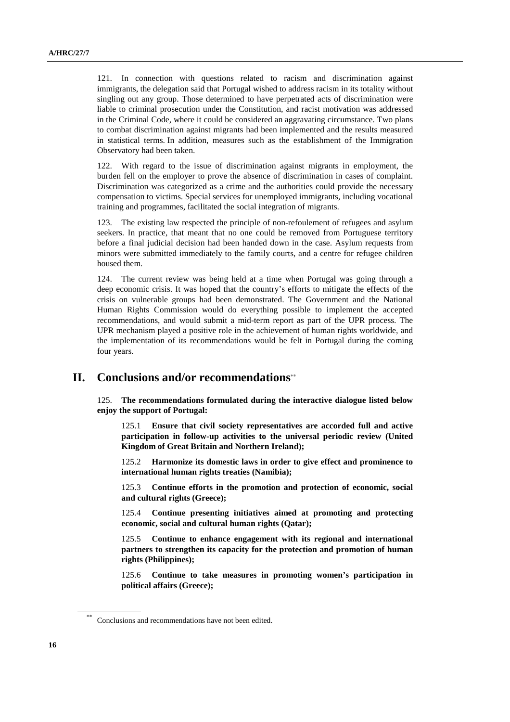121. In connection with questions related to racism and discrimination against immigrants, the delegation said that Portugal wished to address racism in its totality without singling out any group. Those determined to have perpetrated acts of discrimination were liable to criminal prosecution under the Constitution, and racist motivation was addressed in the Criminal Code, where it could be considered an aggravating circumstance. Two plans to combat discrimination against migrants had been implemented and the results measured in statistical terms. In addition, measures such as the establishment of the Immigration Observatory had been taken.

122. With regard to the issue of discrimination against migrants in employment, the burden fell on the employer to prove the absence of discrimination in cases of complaint. Discrimination was categorized as a crime and the authorities could provide the necessary compensation to victims. Special services for unemployed immigrants, including vocational training and programmes, facilitated the social integration of migrants.

123. The existing law respected the principle of non-refoulement of refugees and asylum seekers. In practice, that meant that no one could be removed from Portuguese territory before a final judicial decision had been handed down in the case. Asylum requests from minors were submitted immediately to the family courts, and a centre for refugee children housed them.

124. The current review was being held at a time when Portugal was going through a deep economic crisis. It was hoped that the country's efforts to mitigate the effects of the crisis on vulnerable groups had been demonstrated. The Government and the National Human Rights Commission would do everything possible to implement the accepted recommendations, and would submit a mid-term report as part of the UPR process. The UPR mechanism played a positive role in the achievement of human rights worldwide, and the implementation of its recommendations would be felt in Portugal during the coming four years.

### **II. Conclusions and/or recommendations**∗∗

125. **The recommendations formulated during the interactive dialogue listed below enjoy the support of Portugal:** 

125.1 **Ensure that civil society representatives are accorded full and active participation in follow-up activities to the universal periodic review (United Kingdom of Great Britain and Northern Ireland);** 

125.2 **Harmonize its domestic laws in order to give effect and prominence to international human rights treaties (Namibia);** 

125.3 **Continue efforts in the promotion and protection of economic, social and cultural rights (Greece);** 

125.4 **Continue presenting initiatives aimed at promoting and protecting economic, social and cultural human rights (Qatar);** 

125.5 **Continue to enhance engagement with its regional and international partners to strengthen its capacity for the protection and promotion of human rights (Philippines);** 

125.6 **Continue to take measures in promoting women's participation in political affairs (Greece);** 

Conclusions and recommendations have not been edited.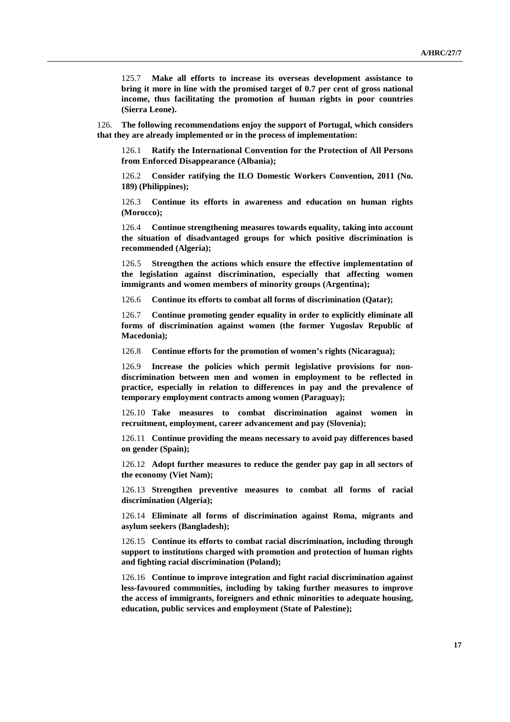125.7 **Make all efforts to increase its overseas development assistance to bring it more in line with the promised target of 0.7 per cent of gross national income, thus facilitating the promotion of human rights in poor countries (Sierra Leone).** 

126. **The following recommendations enjoy the support of Portugal, which considers that they are already implemented or in the process of implementation:** 

126.1 **Ratify the International Convention for the Protection of All Persons from Enforced Disappearance (Albania);** 

126.2 **Consider ratifying the ILO Domestic Workers Convention, 2011 (No. 189) (Philippines);** 

126.3 **Continue its efforts in awareness and education on human rights (Morocco);** 

126.4 **Continue strengthening measures towards equality, taking into account the situation of disadvantaged groups for which positive discrimination is recommended (Algeria);** 

126.5 **Strengthen the actions which ensure the effective implementation of the legislation against discrimination, especially that affecting women immigrants and women members of minority groups (Argentina);** 

126.6 **Continue its efforts to combat all forms of discrimination (Qatar);** 

126.7 **Continue promoting gender equality in order to explicitly eliminate all forms of discrimination against women (the former Yugoslav Republic of Macedonia);** 

126.8 **Continue efforts for the promotion of women's rights (Nicaragua);** 

126.9 **Increase the policies which permit legislative provisions for nondiscrimination between men and women in employment to be reflected in practice, especially in relation to differences in pay and the prevalence of temporary employment contracts among women (Paraguay);** 

126.10 **Take measures to combat discrimination against women in recruitment, employment, career advancement and pay (Slovenia);** 

126.11 **Continue providing the means necessary to avoid pay differences based on gender (Spain);** 

126.12 **Adopt further measures to reduce the gender pay gap in all sectors of the economy (Viet Nam);** 

126.13 **Strengthen preventive measures to combat all forms of racial discrimination (Algeria);** 

126.14 **Eliminate all forms of discrimination against Roma, migrants and asylum seekers (Bangladesh);** 

126.15 **Continue its efforts to combat racial discrimination, including through support to institutions charged with promotion and protection of human rights and fighting racial discrimination (Poland);** 

126.16 **Continue to improve integration and fight racial discrimination against less-favoured communities, including by taking further measures to improve the access of immigrants, foreigners and ethnic minorities to adequate housing, education, public services and employment (State of Palestine);**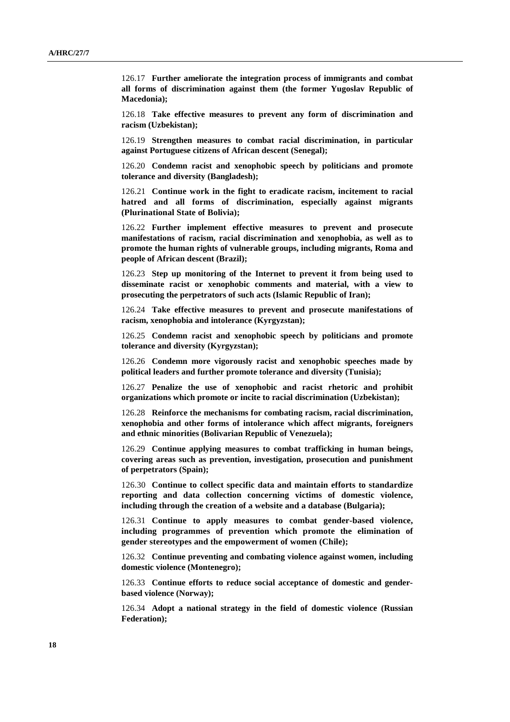126.17 **Further ameliorate the integration process of immigrants and combat all forms of discrimination against them (the former Yugoslav Republic of Macedonia);** 

126.18 **Take effective measures to prevent any form of discrimination and racism (Uzbekistan);** 

126.19 **Strengthen measures to combat racial discrimination, in particular against Portuguese citizens of African descent (Senegal);** 

126.20 **Condemn racist and xenophobic speech by politicians and promote tolerance and diversity (Bangladesh);** 

126.21 **Continue work in the fight to eradicate racism, incitement to racial hatred and all forms of discrimination, especially against migrants (Plurinational State of Bolivia);** 

126.22 **Further implement effective measures to prevent and prosecute manifestations of racism, racial discrimination and xenophobia, as well as to promote the human rights of vulnerable groups, including migrants, Roma and people of African descent (Brazil);** 

126.23 **Step up monitoring of the Internet to prevent it from being used to disseminate racist or xenophobic comments and material, with a view to prosecuting the perpetrators of such acts (Islamic Republic of Iran);** 

126.24 **Take effective measures to prevent and prosecute manifestations of racism, xenophobia and intolerance (Kyrgyzstan);** 

126.25 **Condemn racist and xenophobic speech by politicians and promote tolerance and diversity (Kyrgyzstan);** 

126.26 **Condemn more vigorously racist and xenophobic speeches made by political leaders and further promote tolerance and diversity (Tunisia);** 

126.27 **Penalize the use of xenophobic and racist rhetoric and prohibit organizations which promote or incite to racial discrimination (Uzbekistan);** 

126.28 **Reinforce the mechanisms for combating racism, racial discrimination, xenophobia and other forms of intolerance which affect migrants, foreigners and ethnic minorities (Bolivarian Republic of Venezuela);**

126.29 **Continue applying measures to combat trafficking in human beings, covering areas such as prevention, investigation, prosecution and punishment of perpetrators (Spain);** 

126.30 **Continue to collect specific data and maintain efforts to standardize reporting and data collection concerning victims of domestic violence, including through the creation of a website and a database (Bulgaria);** 

126.31 **Continue to apply measures to combat gender-based violence, including programmes of prevention which promote the elimination of gender stereotypes and the empowerment of women (Chile);** 

126.32 **Continue preventing and combating violence against women, including domestic violence (Montenegro);** 

126.33 **Continue efforts to reduce social acceptance of domestic and genderbased violence (Norway);** 

126.34 **Adopt a national strategy in the field of domestic violence (Russian Federation);**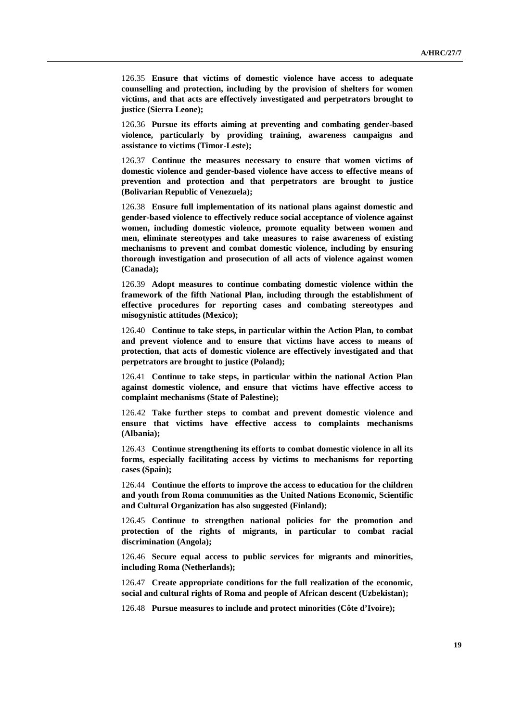126.35 **Ensure that victims of domestic violence have access to adequate counselling and protection, including by the provision of shelters for women victims, and that acts are effectively investigated and perpetrators brought to justice (Sierra Leone);** 

126.36 **Pursue its efforts aiming at preventing and combating gender-based violence, particularly by providing training, awareness campaigns and assistance to victims (Timor-Leste);** 

126.37 **Continue the measures necessary to ensure that women victims of domestic violence and gender-based violence have access to effective means of prevention and protection and that perpetrators are brought to justice (Bolivarian Republic of Venezuela);** 

126.38 **Ensure full implementation of its national plans against domestic and gender-based violence to effectively reduce social acceptance of violence against women, including domestic violence, promote equality between women and men, eliminate stereotypes and take measures to raise awareness of existing mechanisms to prevent and combat domestic violence, including by ensuring thorough investigation and prosecution of all acts of violence against women (Canada);** 

126.39 **Adopt measures to continue combating domestic violence within the framework of the fifth National Plan, including through the establishment of effective procedures for reporting cases and combating stereotypes and misogynistic attitudes (Mexico);** 

126.40 **Continue to take steps, in particular within the Action Plan, to combat and prevent violence and to ensure that victims have access to means of protection, that acts of domestic violence are effectively investigated and that perpetrators are brought to justice (Poland);** 

126.41 **Continue to take steps, in particular within the national Action Plan against domestic violence, and ensure that victims have effective access to complaint mechanisms (State of Palestine);** 

126.42 **Take further steps to combat and prevent domestic violence and ensure that victims have effective access to complaints mechanisms (Albania);** 

126.43 **Continue strengthening its efforts to combat domestic violence in all its forms, especially facilitating access by victims to mechanisms for reporting cases (Spain);** 

126.44 **Continue the efforts to improve the access to education for the children and youth from Roma communities as the United Nations Economic, Scientific and Cultural Organization has also suggested (Finland);** 

126.45 **Continue to strengthen national policies for the promotion and protection of the rights of migrants, in particular to combat racial discrimination (Angola);** 

126.46 **Secure equal access to public services for migrants and minorities, including Roma (Netherlands);** 

126.47 **Create appropriate conditions for the full realization of the economic, social and cultural rights of Roma and people of African descent (Uzbekistan);** 

126.48 **Pursue measures to include and protect minorities (Côte d'Ivoire);**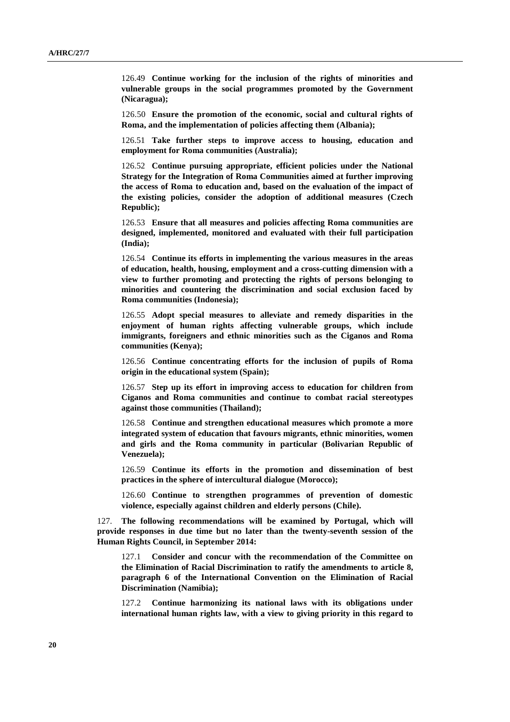126.49 **Continue working for the inclusion of the rights of minorities and vulnerable groups in the social programmes promoted by the Government (Nicaragua);** 

126.50 **Ensure the promotion of the economic, social and cultural rights of Roma, and the implementation of policies affecting them (Albania);** 

126.51 **Take further steps to improve access to housing, education and employment for Roma communities (Australia);** 

126.52 **Continue pursuing appropriate, efficient policies under the National Strategy for the Integration of Roma Communities aimed at further improving the access of Roma to education and, based on the evaluation of the impact of the existing policies, consider the adoption of additional measures (Czech Republic);** 

126.53 **Ensure that all measures and policies affecting Roma communities are designed, implemented, monitored and evaluated with their full participation (India);** 

126.54 **Continue its efforts in implementing the various measures in the areas of education, health, housing, employment and a cross-cutting dimension with a view to further promoting and protecting the rights of persons belonging to minorities and countering the discrimination and social exclusion faced by Roma communities (Indonesia);** 

126.55 **Adopt special measures to alleviate and remedy disparities in the enjoyment of human rights affecting vulnerable groups, which include immigrants, foreigners and ethnic minorities such as the Ciganos and Roma communities (Kenya);** 

126.56 **Continue concentrating efforts for the inclusion of pupils of Roma origin in the educational system (Spain);** 

126.57 **Step up its effort in improving access to education for children from Ciganos and Roma communities and continue to combat racial stereotypes against those communities (Thailand);** 

126.58 **Continue and strengthen educational measures which promote a more integrated system of education that favours migrants, ethnic minorities, women and girls and the Roma community in particular (Bolivarian Republic of Venezuela);** 

126.59 **Continue its efforts in the promotion and dissemination of best practices in the sphere of intercultural dialogue (Morocco);** 

126.60 **Continue to strengthen programmes of prevention of domestic violence, especially against children and elderly persons (Chile).** 

127. **The following recommendations will be examined by Portugal, which will provide responses in due time but no later than the twenty-seventh session of the Human Rights Council, in September 2014:** 

127.1 **Consider and concur with the recommendation of the Committee on the Elimination of Racial Discrimination to ratify the amendments to article 8, paragraph 6 of the International Convention on the Elimination of Racial Discrimination (Namibia);** 

127.2 **Continue harmonizing its national laws with its obligations under international human rights law, with a view to giving priority in this regard to**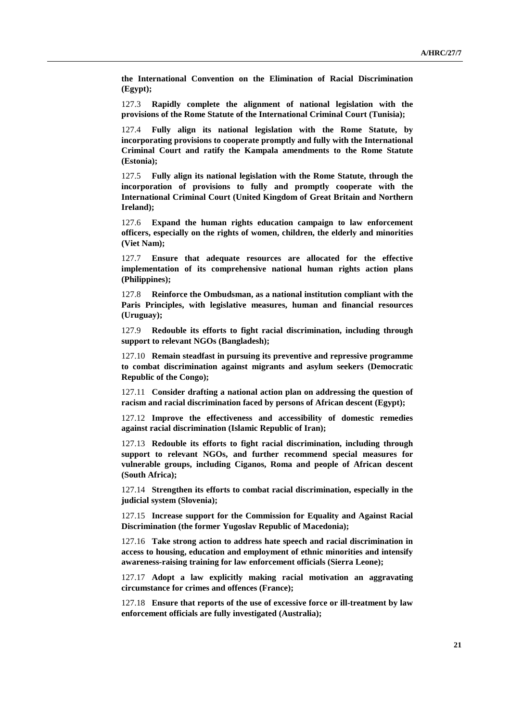**the International Convention on the Elimination of Racial Discrimination (Egypt);** 

127.3 **Rapidly complete the alignment of national legislation with the provisions of the Rome Statute of the International Criminal Court (Tunisia);** 

127.4 **Fully align its national legislation with the Rome Statute, by incorporating provisions to cooperate promptly and fully with the International Criminal Court and ratify the Kampala amendments to the Rome Statute (Estonia);** 

127.5 **Fully align its national legislation with the Rome Statute, through the incorporation of provisions to fully and promptly cooperate with the International Criminal Court (United Kingdom of Great Britain and Northern Ireland);** 

127.6 **Expand the human rights education campaign to law enforcement officers, especially on the rights of women, children, the elderly and minorities (Viet Nam);** 

127.7 **Ensure that adequate resources are allocated for the effective implementation of its comprehensive national human rights action plans (Philippines);** 

127.8 **Reinforce the Ombudsman, as a national institution compliant with the Paris Principles, with legislative measures, human and financial resources (Uruguay);** 

127.9 **Redouble its efforts to fight racial discrimination, including through support to relevant NGOs (Bangladesh);** 

127.10 **Remain steadfast in pursuing its preventive and repressive programme to combat discrimination against migrants and asylum seekers (Democratic Republic of the Congo);** 

127.11 **Consider drafting a national action plan on addressing the question of racism and racial discrimination faced by persons of African descent (Egypt);** 

127.12 **Improve the effectiveness and accessibility of domestic remedies against racial discrimination (Islamic Republic of Iran);** 

127.13 **Redouble its efforts to fight racial discrimination, including through support to relevant NGOs, and further recommend special measures for vulnerable groups, including Ciganos, Roma and people of African descent (South Africa);** 

127.14 **Strengthen its efforts to combat racial discrimination, especially in the judicial system (Slovenia);** 

127.15 **Increase support for the Commission for Equality and Against Racial Discrimination (the former Yugoslav Republic of Macedonia);** 

127.16 **Take strong action to address hate speech and racial discrimination in access to housing, education and employment of ethnic minorities and intensify awareness-raising training for law enforcement officials (Sierra Leone);** 

127.17 **Adopt a law explicitly making racial motivation an aggravating circumstance for crimes and offences (France);** 

127.18 **Ensure that reports of the use of excessive force or ill-treatment by law enforcement officials are fully investigated (Australia);**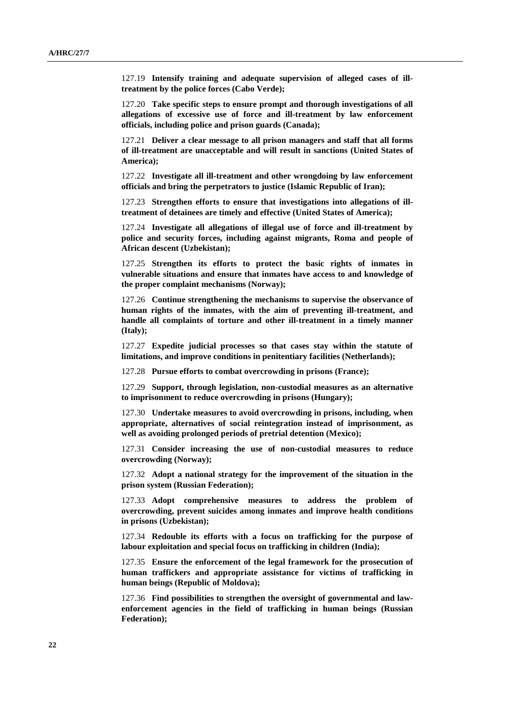127.19 **Intensify training and adequate supervision of alleged cases of illtreatment by the police forces (Cabo Verde);** 

127.20 **Take specific steps to ensure prompt and thorough investigations of all allegations of excessive use of force and ill-treatment by law enforcement officials, including police and prison guards (Canada);** 

127.21 **Deliver a clear message to all prison managers and staff that all forms of ill-treatment are unacceptable and will result in sanctions (United States of America);** 

127.22 **Investigate all ill-treatment and other wrongdoing by law enforcement officials and bring the perpetrators to justice (Islamic Republic of Iran);** 

127.23 **Strengthen efforts to ensure that investigations into allegations of illtreatment of detainees are timely and effective (United States of America);** 

127.24 **Investigate all allegations of illegal use of force and ill-treatment by police and security forces, including against migrants, Roma and people of African descent (Uzbekistan);** 

127.25 **Strengthen its efforts to protect the basic rights of inmates in vulnerable situations and ensure that inmates have access to and knowledge of the proper complaint mechanisms (Norway);** 

127.26 **Continue strengthening the mechanisms to supervise the observance of human rights of the inmates, with the aim of preventing ill-treatment, and handle all complaints of torture and other ill-treatment in a timely manner (Italy);** 

127.27 **Expedite judicial processes so that cases stay within the statute of limitations, and improve conditions in penitentiary facilities (Netherlands);** 

127.28 **Pursue efforts to combat overcrowding in prisons (France);** 

127.29 **Support, through legislation, non-custodial measures as an alternative to imprisonment to reduce overcrowding in prisons (Hungary);** 

127.30 **Undertake measures to avoid overcrowding in prisons, including, when appropriate, alternatives of social reintegration instead of imprisonment, as well as avoiding prolonged periods of pretrial detention (Mexico);** 

127.31 **Consider increasing the use of non-custodial measures to reduce overcrowding (Norway);** 

127.32 **Adopt a national strategy for the improvement of the situation in the prison system (Russian Federation);** 

127.33 **Adopt comprehensive measures to address the problem of overcrowding, prevent suicides among inmates and improve health conditions in prisons (Uzbekistan);** 

127.34 **Redouble its efforts with a focus on trafficking for the purpose of labour exploitation and special focus on trafficking in children (India);** 

127.35 **Ensure the enforcement of the legal framework for the prosecution of human traffickers and appropriate assistance for victims of trafficking in human beings (Republic of Moldova);** 

127.36 **Find possibilities to strengthen the oversight of governmental and lawenforcement agencies in the field of trafficking in human beings (Russian Federation);**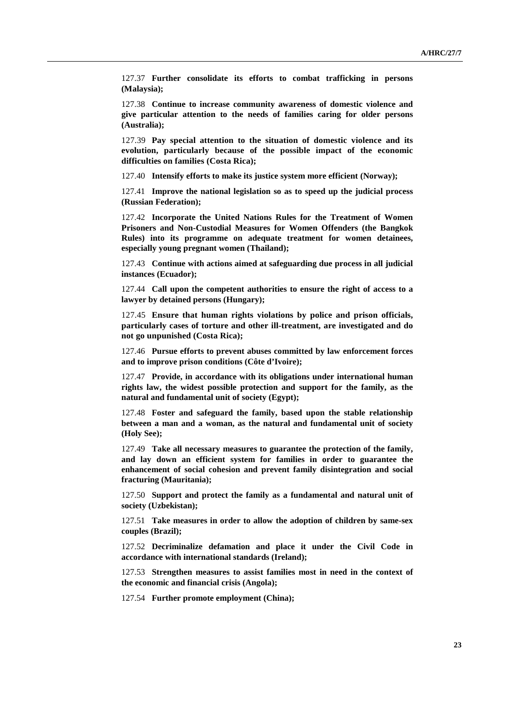127.37 **Further consolidate its efforts to combat trafficking in persons (Malaysia);** 

127.38 **Continue to increase community awareness of domestic violence and give particular attention to the needs of families caring for older persons (Australia);** 

127.39 **Pay special attention to the situation of domestic violence and its evolution, particularly because of the possible impact of the economic difficulties on families (Costa Rica);** 

127.40 **Intensify efforts to make its justice system more efficient (Norway);** 

127.41 **Improve the national legislation so as to speed up the judicial process (Russian Federation);** 

127.42 **Incorporate the United Nations Rules for the Treatment of Women Prisoners and Non-Custodial Measures for Women Offenders (the Bangkok Rules) into its programme on adequate treatment for women detainees, especially young pregnant women (Thailand);** 

127.43 **Continue with actions aimed at safeguarding due process in all judicial instances (Ecuador);** 

127.44 **Call upon the competent authorities to ensure the right of access to a lawyer by detained persons (Hungary);** 

127.45 **Ensure that human rights violations by police and prison officials, particularly cases of torture and other ill-treatment, are investigated and do not go unpunished (Costa Rica);** 

127.46 **Pursue efforts to prevent abuses committed by law enforcement forces and to improve prison conditions (Côte d'Ivoire);** 

127.47 **Provide, in accordance with its obligations under international human rights law, the widest possible protection and support for the family, as the natural and fundamental unit of society (Egypt);** 

127.48 **Foster and safeguard the family, based upon the stable relationship between a man and a woman, as the natural and fundamental unit of society (Holy See);** 

127.49 **Take all necessary measures to guarantee the protection of the family, and lay down an efficient system for families in order to guarantee the enhancement of social cohesion and prevent family disintegration and social fracturing (Mauritania);** 

127.50 **Support and protect the family as a fundamental and natural unit of society (Uzbekistan);** 

127.51 **Take measures in order to allow the adoption of children by same-sex couples (Brazil);** 

127.52 **Decriminalize defamation and place it under the Civil Code in accordance with international standards (Ireland);** 

127.53 **Strengthen measures to assist families most in need in the context of the economic and financial crisis (Angola);** 

127.54 **Further promote employment (China);**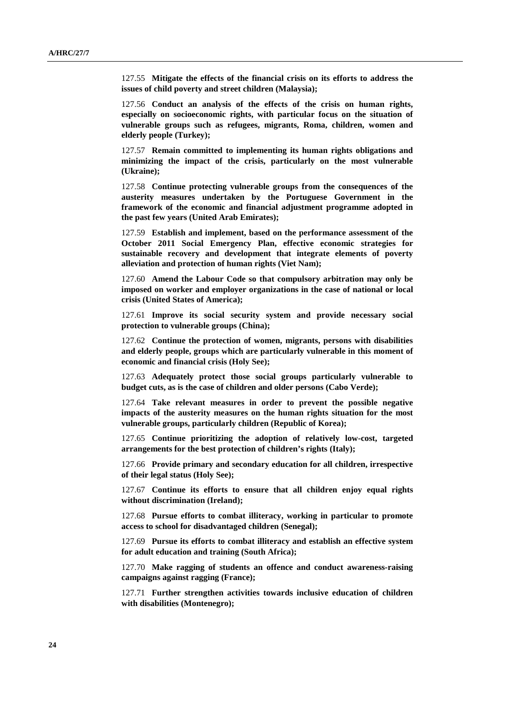127.55 **Mitigate the effects of the financial crisis on its efforts to address the issues of child poverty and street children (Malaysia);** 

127.56 **Conduct an analysis of the effects of the crisis on human rights, especially on socioeconomic rights, with particular focus on the situation of vulnerable groups such as refugees, migrants, Roma, children, women and elderly people (Turkey);** 

127.57 **Remain committed to implementing its human rights obligations and minimizing the impact of the crisis, particularly on the most vulnerable (Ukraine);** 

127.58 **Continue protecting vulnerable groups from the consequences of the austerity measures undertaken by the Portuguese Government in the framework of the economic and financial adjustment programme adopted in the past few years (United Arab Emirates);** 

127.59 **Establish and implement, based on the performance assessment of the October 2011 Social Emergency Plan, effective economic strategies for sustainable recovery and development that integrate elements of poverty alleviation and protection of human rights (Viet Nam);** 

127.60 **Amend the Labour Code so that compulsory arbitration may only be imposed on worker and employer organizations in the case of national or local crisis (United States of America);** 

127.61 **Improve its social security system and provide necessary social protection to vulnerable groups (China);** 

127.62 **Continue the protection of women, migrants, persons with disabilities and elderly people, groups which are particularly vulnerable in this moment of economic and financial crisis (Holy See);** 

127.63 **Adequately protect those social groups particularly vulnerable to budget cuts, as is the case of children and older persons (Cabo Verde);** 

127.64 **Take relevant measures in order to prevent the possible negative impacts of the austerity measures on the human rights situation for the most vulnerable groups, particularly children (Republic of Korea);** 

127.65 **Continue prioritizing the adoption of relatively low-cost, targeted arrangements for the best protection of children's rights (Italy);** 

127.66 **Provide primary and secondary education for all children, irrespective of their legal status (Holy See);** 

127.67 **Continue its efforts to ensure that all children enjoy equal rights without discrimination (Ireland);** 

127.68 **Pursue efforts to combat illiteracy, working in particular to promote access to school for disadvantaged children (Senegal);** 

127.69 **Pursue its efforts to combat illiteracy and establish an effective system for adult education and training (South Africa);** 

127.70 **Make ragging of students an offence and conduct awareness-raising campaigns against ragging (France);** 

127.71 **Further strengthen activities towards inclusive education of children with disabilities (Montenegro);**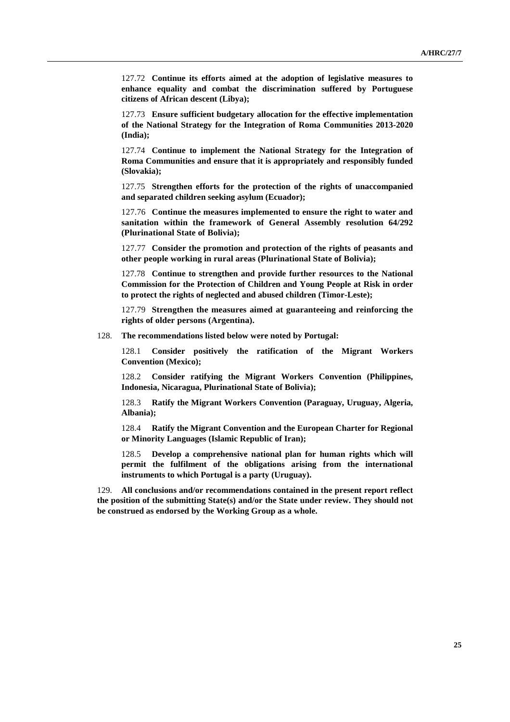127.72 **Continue its efforts aimed at the adoption of legislative measures to enhance equality and combat the discrimination suffered by Portuguese citizens of African descent (Libya);** 

127.73 **Ensure sufficient budgetary allocation for the effective implementation of the National Strategy for the Integration of Roma Communities 2013-2020 (India);** 

127.74 **Continue to implement the National Strategy for the Integration of Roma Communities and ensure that it is appropriately and responsibly funded (Slovakia);** 

127.75 **Strengthen efforts for the protection of the rights of unaccompanied and separated children seeking asylum (Ecuador);** 

127.76 **Continue the measures implemented to ensure the right to water and sanitation within the framework of General Assembly resolution 64/292 (Plurinational State of Bolivia);** 

127.77 **Consider the promotion and protection of the rights of peasants and other people working in rural areas (Plurinational State of Bolivia);** 

127.78 **Continue to strengthen and provide further resources to the National Commission for the Protection of Children and Young People at Risk in order to protect the rights of neglected and abused children (Timor-Leste);** 

127.79 **Strengthen the measures aimed at guaranteeing and reinforcing the rights of older persons (Argentina).** 

128. **The recommendations listed below were noted by Portugal:** 

128.1 **Consider positively the ratification of the Migrant Workers Convention (Mexico);** 

128.2 **Consider ratifying the Migrant Workers Convention (Philippines, Indonesia, Nicaragua, Plurinational State of Bolivia);** 

128.3 **Ratify the Migrant Workers Convention (Paraguay, Uruguay, Algeria, Albania);** 

128.4 **Ratify the Migrant Convention and the European Charter for Regional or Minority Languages (Islamic Republic of Iran);** 

128.5 **Develop a comprehensive national plan for human rights which will permit the fulfilment of the obligations arising from the international instruments to which Portugal is a party (Uruguay).** 

129. **All conclusions and/or recommendations contained in the present report reflect the position of the submitting State(s) and/or the State under review. They should not be construed as endorsed by the Working Group as a whole.**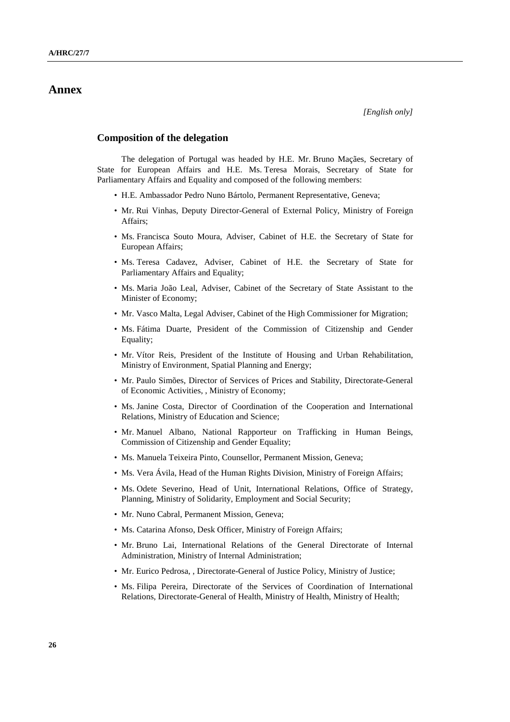## **Annex**

#### **Composition of the delegation**

The delegation of Portugal was headed by H.E. Mr. Bruno Maçães, Secretary of State for European Affairs and H.E. Ms. Teresa Morais, Secretary of State for Parliamentary Affairs and Equality and composed of the following members:

- H.E. Ambassador Pedro Nuno Bártolo, Permanent Representative, Geneva;
- Mr. Rui Vinhas, Deputy Director-General of External Policy, Ministry of Foreign Affairs;
- Ms. Francisca Souto Moura, Adviser, Cabinet of H.E. the Secretary of State for European Affairs;
- Ms. Teresa Cadavez, Adviser, Cabinet of H.E. the Secretary of State for Parliamentary Affairs and Equality;
- Ms. Maria João Leal, Adviser, Cabinet of the Secretary of State Assistant to the Minister of Economy;
- Mr. Vasco Malta, Legal Adviser, Cabinet of the High Commissioner for Migration;
- Ms. Fátima Duarte, President of the Commission of Citizenship and Gender Equality;
- Mr. Vítor Reis, President of the Institute of Housing and Urban Rehabilitation, Ministry of Environment, Spatial Planning and Energy;
- Mr. Paulo Simões, Director of Services of Prices and Stability, Directorate-General of Economic Activities, , Ministry of Economy;
- Ms. Janine Costa, Director of Coordination of the Cooperation and International Relations, Ministry of Education and Science;
- Mr. Manuel Albano, National Rapporteur on Trafficking in Human Beings, Commission of Citizenship and Gender Equality;
- Ms. Manuela Teixeira Pinto, Counsellor, Permanent Mission, Geneva;
- Ms. Vera Ávila, Head of the Human Rights Division, Ministry of Foreign Affairs;
- Ms. Odete Severino, Head of Unit, International Relations, Office of Strategy, Planning, Ministry of Solidarity, Employment and Social Security;
- Mr. Nuno Cabral, Permanent Mission, Geneva;
- Ms. Catarina Afonso, Desk Officer, Ministry of Foreign Affairs;
- Mr. Bruno Lai, International Relations of the General Directorate of Internal Administration, Ministry of Internal Administration;
- Mr. Eurico Pedrosa, , Directorate-General of Justice Policy, Ministry of Justice;
- Ms. Filipa Pereira, Directorate of the Services of Coordination of International Relations, Directorate-General of Health, Ministry of Health, Ministry of Health;